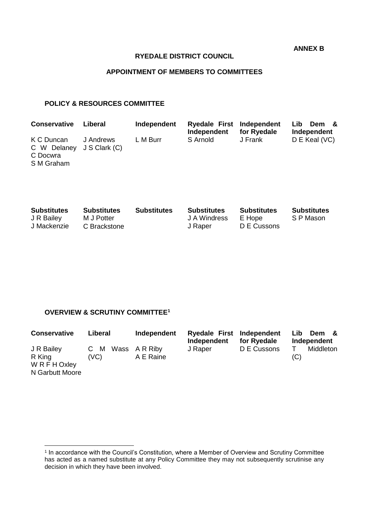**ANNEX B**

#### **RYEDALE DISTRICT COUNCIL**

## **APPOINTMENT OF MEMBERS TO COMMITTEES**

#### **POLICY & RESOURCES COMMITTEE**

| <b>Conservative</b>                                               | Liberal   | Independent | Ryedale First Independent<br>Independent | for Ryedale | Lib.<br>Dem &<br>Independent |
|-------------------------------------------------------------------|-----------|-------------|------------------------------------------|-------------|------------------------------|
| K C Duncan<br>C W Delaney J S Clark (C)<br>C Docwra<br>S M Graham | J Andrews | L M Burr    | S Arnold                                 | J Frank     | D E Keal (VC)                |

| <b>Substitutes</b><br>J R Bailey<br>J Mackenzie | <b>Substitutes</b><br>M J Potter<br>C Brackstone | <b>Substitutes</b> | <b>Substitutes</b><br>J A Windress<br>J Raper | <b>Substitutes</b><br>E Hope<br>D E Cussons | <b>Substitutes</b><br>S P Mason |
|-------------------------------------------------|--------------------------------------------------|--------------------|-----------------------------------------------|---------------------------------------------|---------------------------------|
|                                                 |                                                  |                    |                                               |                                             |                                 |

## **OVERVIEW & SCRUTINY COMMITTEE<sup>1</sup>**

| <b>Conservative</b>                                      | Liberal                 | Independent | Ryedale First Independent<br>Independent | for Ryedale | Lib.<br>Dem<br>Independent |
|----------------------------------------------------------|-------------------------|-------------|------------------------------------------|-------------|----------------------------|
| J R Bailey<br>R King<br>W R F H Oxley<br>N Garbutt Moore | C M Wass ARRiby<br>(VC) | A E Raine   | J Raper                                  | D E Cussons | Middleton<br>(C)           |

 1 In accordance with the Council's Constitution, where a Member of Overview and Scrutiny Committee has acted as a named substitute at any Policy Committee they may not subsequently scrutinise any decision in which they have been involved.